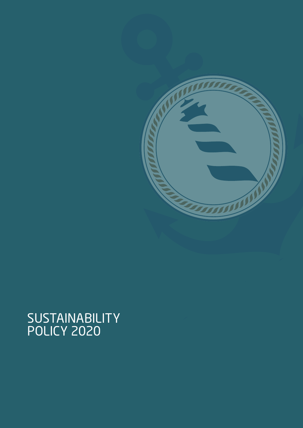

# SUSTAINABILITY<br>POLICY 2020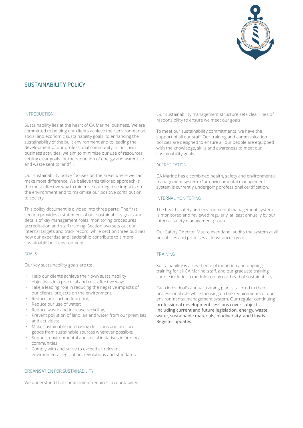

# SUSTAINABILITY POLICY

#### INTRODUCTION

Sustainability lies at the heart of CA Marine' business. We are committed to helping our clients achieve their environmental, social and economic sustainability goals, to enhancing the sustainability of the built environment and to leading the development of our professional community. In our own business activities, we aim to minimise our use of resources, setting clear goals for the reduction of energy and water use and waste sent to landfill.

Our sustainability policy focuses on the areas where we can make most difference. We believe this tailored approach is the most effective way to minimise our negative impacts on the environment and to maximise our positive contribution to society.

This policy document is divided into three parts. The first section provides a statement of our sustainability goals and details of key management roles, monitoring procedures, accreditation and staff training. Section two sets out our internal targets and track record, while section three outlines how our expertise and leadership contribute to a more sustainable built environment.

## GOALS

Our key sustainability goals are to:

- Help our clients achieve their own sustainability objectives in a practical and cost effective way;
- Take a leading role in reducing the negative impacts of our clients' projects on the environment;
- Reduce our carbon footprint;
- Reduce our use of water;
- Reduce waste and increase recycling;
- Prevent pollution of land, air and water from our premises and activities;
- Make sustainable purchasing decisions and procure goods from sustainable sources wherever possible;
- Support environmental and social initiatives in our local communities;
- Comply with and strive to exceed all relevant environmental legislation, regulations and standards.

#### ORGANISATION FOR SUSTAINABILITY

We understand that commitment requires accountability.

Our sustainability management structure sets clear lines of responsibility to ensure we meet our goals.

To meet our sustainability commitments, we have the support of all our staff. Our training and communication policies are designed to ensure all our people are equipped with the knowledge, skills and awareness to meet our sustainability goals.

## ACCREDITATION

CA Marine has a combined health, safety and environmental management system. Our environmental management system is currently undergoing professional certification.

#### INTERNAL MONITORING

The health, safety and environmental management system is monitored and reviewed regularly, at least annually by our internal safety management group.

Our Safety Director, Mauro Avendano, audits the system at all our offices and premises at least once a year.

#### TRAINING

Sustainability is a key theme of induction and ongoing training for all CA Marine' staff, and our graduate training course includes a module run by our head of sustainability.

Each individual's annual training plan is tailored to their professional role while focusing on the requirements of our environmental management system. Our regular continuing professional development sessions cover subjects including current and future legislation, energy, waste, water, sustainable materials, biodiversity, and Lloyds Register updates.